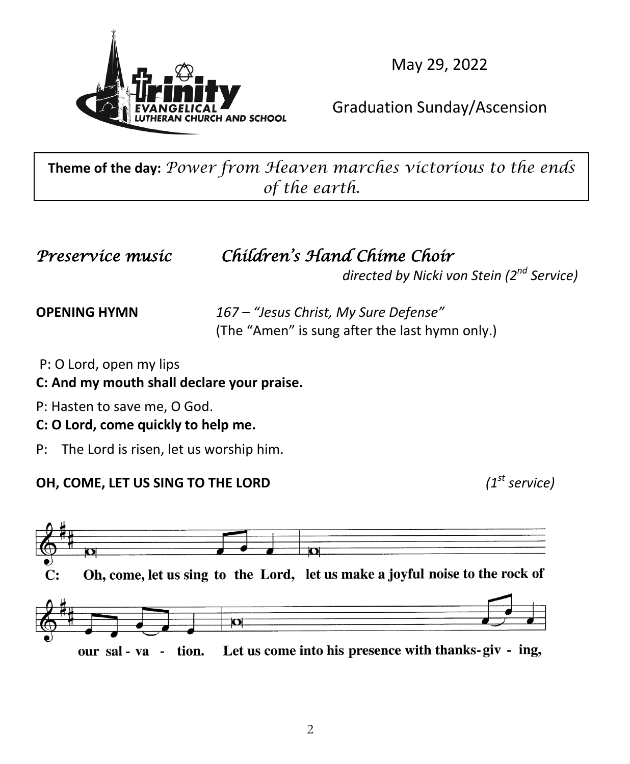

May 29, 2022

### Graduation Sunday/Ascension

**Theme of the day:** *Power from Heaven marches victorious to the ends of the earth.*

## *Preservice music Children's Hand Chime Choir*

*directed by Nicki von Stein (2nd Service)*

**OPENING HYMN** *167 – "Jesus Christ, My Sure Defense"*  (The "Amen" is sung after the last hymn only.)

P: O Lord, open my lips

**C: And my mouth shall declare your praise.**

P: Hasten to save me, O God.

#### **C: O Lord, come quickly to help me.**

P: The Lord is risen, let us worship him.

#### **OH, COME, LET US SING TO THE LORD** *(1<sup>st</sup> service)*

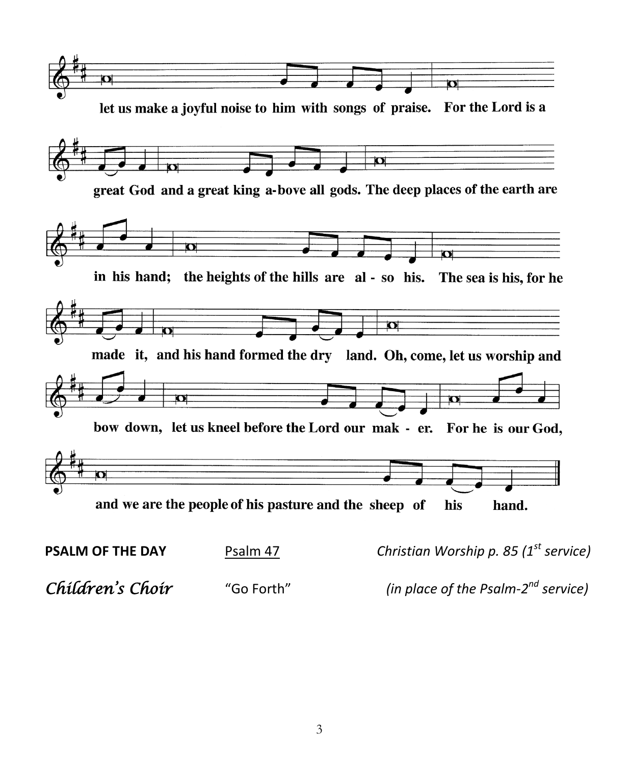

*Children's Choir* "Go Forth" *(in place of the Psalm-2nd service)*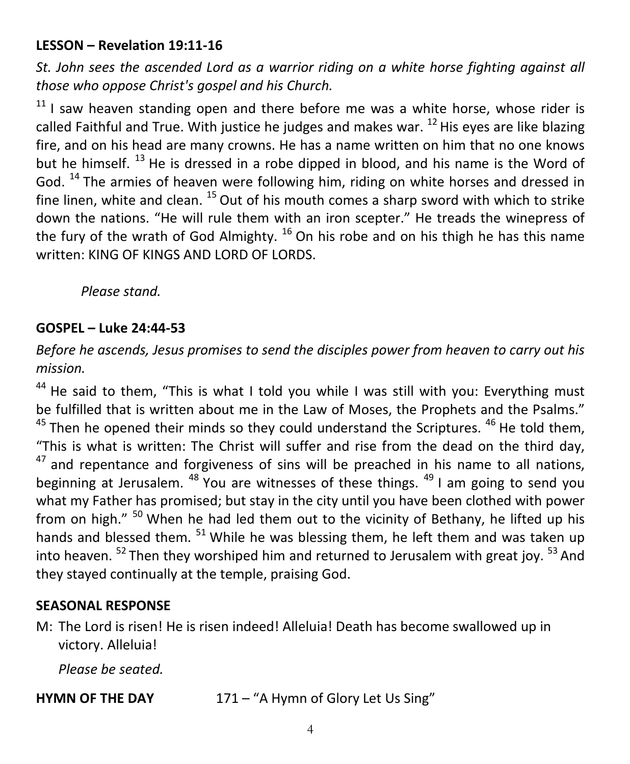#### **LESSON – Revelation 19:11-16**

*St. John sees the ascended Lord as a warrior riding on a white horse fighting against all those who oppose Christ's gospel and his Church.*

 $11$  I saw heaven standing open and there before me was a white horse, whose rider is called Faithful and True. With justice he judges and makes war.  $^{12}$  His eyes are like blazing fire, and on his head are many crowns. He has a name written on him that no one knows but he himself.<sup>13</sup> He is dressed in a robe dipped in blood, and his name is the Word of God. 14 The armies of heaven were following him, riding on white horses and dressed in fine linen, white and clean.  $^{15}$  Out of his mouth comes a sharp sword with which to strike down the nations. "He will rule them with an iron scepter." He treads the winepress of the fury of the wrath of God Almighty.  $16$  On his robe and on his thigh he has this name written: KING OF KINGS AND LORD OF LORDS.

*Please stand.*

#### **GOSPEL – Luke 24:44-53**

*Before he ascends, Jesus promises to send the disciples power from heaven to carry out his mission.*

 $44$  He said to them, "This is what I told you while I was still with you: Everything must be fulfilled that is written about me in the Law of Moses, the Prophets and the Psalms."  $45$  Then he opened their minds so they could understand the Scriptures.  $46$  He told them, "This is what is written: The Christ will suffer and rise from the dead on the third day,  $47$  and repentance and forgiveness of sins will be preached in his name to all nations, beginning at Jerusalem.  $48$  You are witnesses of these things.  $49$  I am going to send you what my Father has promised; but stay in the city until you have been clothed with power from on high."  $50$  When he had led them out to the vicinity of Bethany, he lifted up his hands and blessed them.  $51$  While he was blessing them, he left them and was taken up into heaven.  $52$  Then they worshiped him and returned to Jerusalem with great joy.  $53$  And they stayed continually at the temple, praising God.

#### **SEASONAL RESPONSE**

M: The Lord is risen! He is risen indeed! Alleluia! Death has become swallowed up in victory. Alleluia!

*Please be seated.*

**HYMN OF THE DAY** 171 – "A Hymn of Glory Let Us Sing"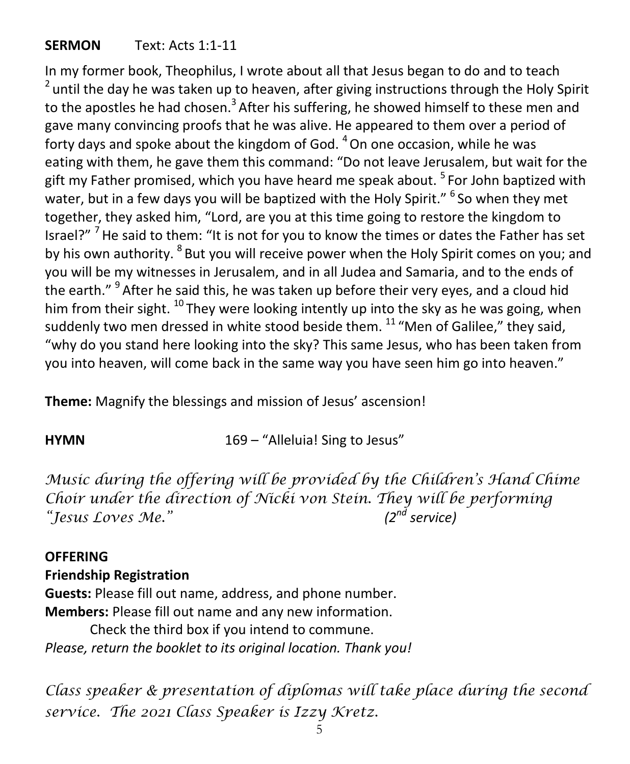#### **SERMON** Text: Acts 1:1-11

In my former book, Theophilus, I wrote about all that Jesus began to do and to teach  $2$  until the day he was taken up to heaven, after giving instructions through the Holy Spirit to the apostles he had chosen.<sup>3</sup> After his suffering, he showed himself to these men and gave many convincing proofs that he was alive. He appeared to them over a period of forty days and spoke about the kingdom of God.  $4$  On one occasion, while he was eating with them, he gave them this command: "Do not leave Jerusalem, but wait for the gift my Father promised, which you have heard me speak about.  $5$  For John baptized with water, but in a few days you will be baptized with the Holv Spirit." <sup>6</sup> So when they met together, they asked him, "Lord, are you at this time going to restore the kingdom to Israel?" <sup>7</sup> He said to them: "It is not for you to know the times or dates the Father has set by his own authority. <sup>8</sup> But you will receive power when the Holy Spirit comes on you; and you will be my witnesses in Jerusalem, and in all Judea and Samaria, and to the ends of the earth." <sup>9</sup> After he said this, he was taken up before their very eyes, and a cloud hid him from their sight. <sup>10</sup> They were looking intently up into the sky as he was going, when suddenly two men dressed in white stood beside them.  $11\textdegree$  "Men of Galilee," they said, "why do you stand here looking into the sky? This same Jesus, who has been taken from you into heaven, will come back in the same way you have seen him go into heaven."

**Theme:** Magnify the blessings and mission of Jesus' ascension!

**HYMN** 169 – "Alleluia! Sing to Jesus"

*Music during the offering will be provided by the Children's Hand Chime Choir under the direction of Nicki von Stein. They will be performing "Jesus Loves Me." (2nd service)*

#### **OFFERING**

**Friendship Registration**

**Guests:** Please fill out name, address, and phone number. **Members:** Please fill out name and any new information.

Check the third box if you intend to commune. *Please, return the booklet to its original location. Thank you!*

*Class speaker & presentation of diplomas will take place during the second service. The 2021 Class Speaker is Izzy Kretz.*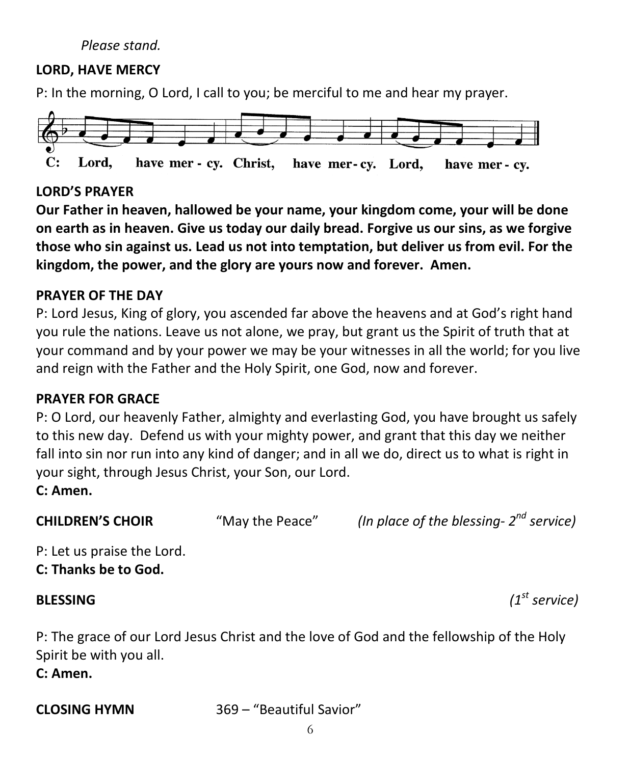#### *Please stand.*

#### **LORD, HAVE MERCY**

P: In the morning, O Lord, I call to you; be merciful to me and hear my prayer.



#### **LORD'S PRAYER**

**Our Father in heaven, hallowed be your name, your kingdom come, your will be done on earth as in heaven. Give us today our daily bread. Forgive us our sins, as we forgive those who sin against us. Lead us not into temptation, but deliver us from evil. For the kingdom, the power, and the glory are yours now and forever. Amen.**

#### **PRAYER OF THE DAY**

P: Lord Jesus, King of glory, you ascended far above the heavens and at God's right hand you rule the nations. Leave us not alone, we pray, but grant us the Spirit of truth that at your command and by your power we may be your witnesses in all the world; for you live and reign with the Father and the Holy Spirit, one God, now and forever.

#### **PRAYER FOR GRACE**

P: O Lord, our heavenly Father, almighty and everlasting God, you have brought us safely to this new day. Defend us with your mighty power, and grant that this day we neither fall into sin nor run into any kind of danger; and in all we do, direct us to what is right in your sight, through Jesus Christ, your Son, our Lord.

#### **C: Amen.**

**CHILDREN'S CHOIR** "May the Peace" *(In place of the blessing- 2nd service)*

P: Let us praise the Lord. **C: Thanks be to God.**

**BLESSING** *(1st service)*

P: The grace of our Lord Jesus Christ and the love of God and the fellowship of the Holy Spirit be with you all.

**C: Amen.**

**CLOSING HYMN** 369 – "Beautiful Savior"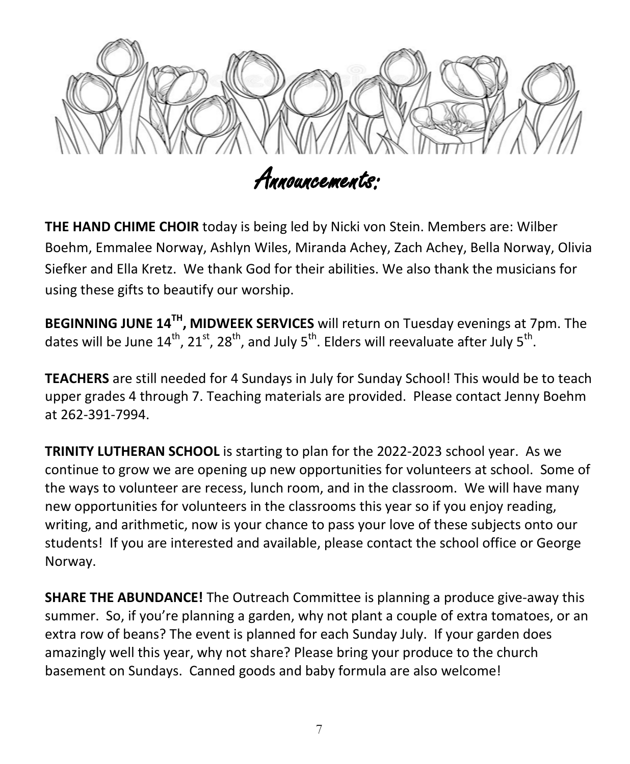

**THE HAND CHIME CHOIR** today is being led by Nicki von Stein. Members are: Wilber Boehm, Emmalee Norway, Ashlyn Wiles, Miranda Achey, Zach Achey, Bella Norway, Olivia Siefker and Ella Kretz. We thank God for their abilities. We also thank the musicians for using these gifts to beautify our worship.

**BEGINNING JUNE 14TH, MIDWEEK SERVICES** will return on Tuesday evenings at 7pm. The dates will be June  $14^{th}$ ,  $21^{st}$ ,  $28^{th}$ , and July  $5^{th}$ . Elders will reevaluate after July  $5^{th}$ .

**TEACHERS** are still needed for 4 Sundays in July for Sunday School! This would be to teach upper grades 4 through 7. Teaching materials are provided. Please contact Jenny Boehm at 262-391-7994.

**TRINITY LUTHERAN SCHOOL** is starting to plan for the 2022-2023 school year. As we continue to grow we are opening up new opportunities for volunteers at school. Some of the ways to volunteer are recess, lunch room, and in the classroom. We will have many new opportunities for volunteers in the classrooms this year so if you enjoy reading, writing, and arithmetic, now is your chance to pass your love of these subjects onto our students! If you are interested and available, please contact the school office or George Norway.

**SHARE THE ABUNDANCE!** The Outreach Committee is planning a produce give-away this summer. So, if you're planning a garden, why not plant a couple of extra tomatoes, or an extra row of beans? The event is planned for each Sunday July. If your garden does amazingly well this year, why not share? Please bring your produce to the church basement on Sundays. Canned goods and baby formula are also welcome!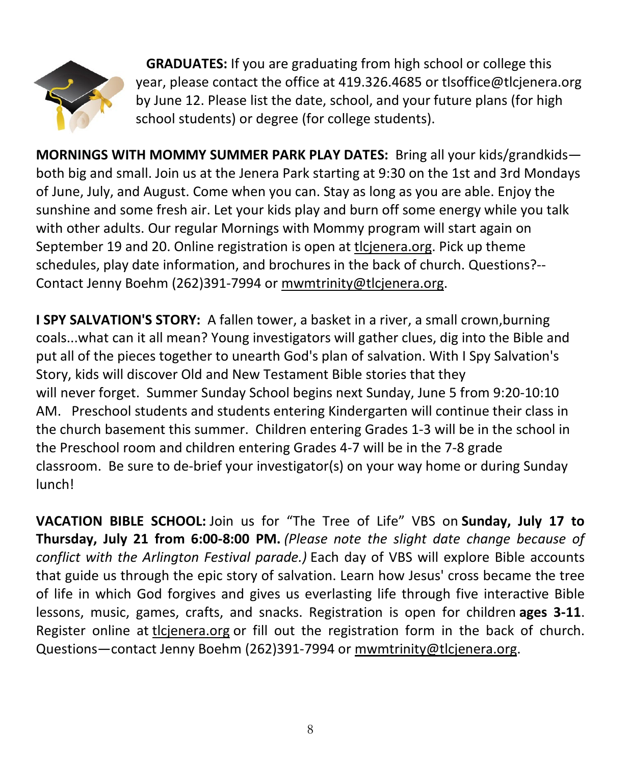

 **GRADUATES:** If you are graduating from high school or college this year, please contact the office at 419.326.4685 or tlsoffice@tlcjenera.org by June 12. Please list the date, school, and your future plans (for high school students) or degree (for college students).

**MORNINGS WITH MOMMY SUMMER PARK PLAY DATES:** Bring all your kids/grandkids both big and small. Join us at the Jenera Park starting at 9:30 on the 1st and 3rd Mondays of June, July, and August. Come when you can. Stay as long as you are able. Enjoy the sunshine and some fresh air. Let your kids play and burn off some energy while you talk with other adults. Our regular Mornings with Mommy program will start again on September 19 and 20. Online registration is open at [tlcjenera.org.](http://tlcjenera.org/) Pick up theme schedules, play date information, and brochures in the back of church. Questions?-- Contact Jenny Boehm (262)391-7994 or [mwmtrinity@tlcjenera.org.](mailto:mwmtrinity@tlcjenera.org)

**I SPY SALVATION'S STORY:** A fallen tower, a basket in a river, a small crown,burning coals...what can it all mean? Young investigators will gather clues, dig into the Bible and put all of the pieces together to unearth God's plan of salvation. With I Spy Salvation's Story, kids will discover Old and New Testament Bible stories that they will never forget. Summer Sunday School begins next Sunday, June 5 from 9:20-10:10 AM. Preschool students and students entering Kindergarten will continue their class in the church basement this summer. Children entering Grades 1-3 will be in the school in the Preschool room and children entering Grades 4-7 will be in the 7-8 grade classroom. Be sure to de-brief your investigator(s) on your way home or during Sunday lunch!

**VACATION BIBLE SCHOOL:** Join us for "The Tree of Life" VBS on **Sunday, July 17 to Thursday, July 21 from 6:00-8:00 PM.** *(Please note the slight date change because of conflict with the Arlington Festival parade.)* Each day of VBS will explore Bible accounts that guide us through the epic story of salvation. Learn how Jesus' cross became the tree of life in which God forgives and gives us everlasting life through five interactive Bible lessons, music, games, crafts, and snacks. Registration is open for children **ages 3-11**. Register online at [tlcjenera.org](http://tlcjenera.org/) or fill out the registration form in the back of church. Questions-contact Jenny Boehm (262)391-7994 or [mwmtrinity@tlcjenera.org.](mailto:mwmtrinity@tlcjenera.org)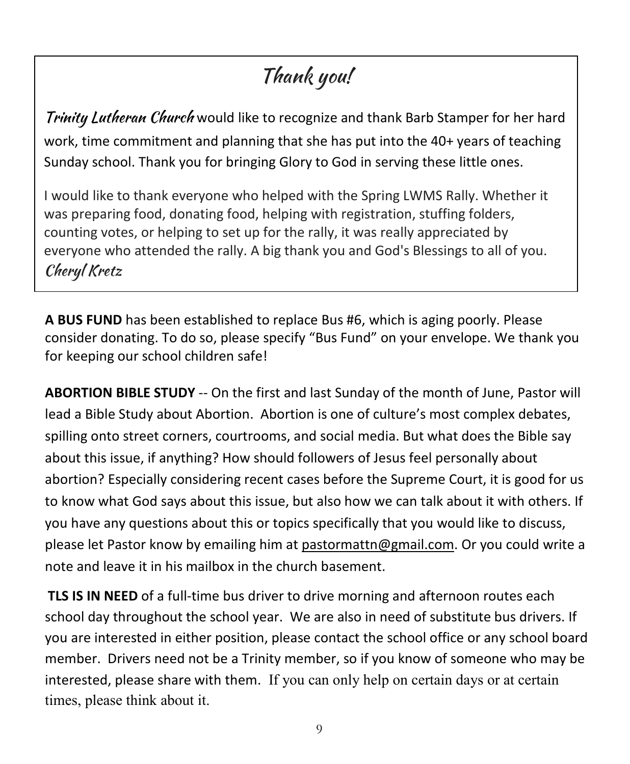## Thank you!

Trinity Lutheran Church would like to recognize and thank Barb Stamper for her hard work, time commitment and planning that she has put into the 40+ years of teaching Sunday school. Thank you for bringing Glory to God in serving these little ones.

I would like to thank everyone who helped with the Spring LWMS Rally. Whether it was preparing food, donating food, helping with registration, stuffing folders, counting votes, or helping to set up for the rally, it was really appreciated by everyone who attended the rally. A big thank you and God's Blessings to all of you. Cheryl Kretz

**A BUS FUND** has been established to replace Bus #6, which is aging poorly. Please consider donating. To do so, please specify "Bus Fund" on your envelope. We thank you for keeping our school children safe!

**ABORTION BIBLE STUDY** -- On the first and last Sunday of the month of June, Pastor will lead a Bible Study about Abortion. Abortion is one of culture's most complex debates, spilling onto street corners, courtrooms, and social media. But what does the Bible say about this issue, if anything? How should followers of Jesus feel personally about abortion? Especially considering recent cases before the Supreme Court, it is good for us to know what God says about this issue, but also how we can talk about it with others. If you have any questions about this or topics specifically that you would like to discuss, please let Pastor know by emailing him at [pastormattn@gmail.com.](mailto:pastormattn@gmail.com) Or you could write a note and leave it in his mailbox in the church basement.

**TLS IS IN NEED** of a full-time bus driver to drive morning and afternoon routes each school day throughout the school year. We are also in need of substitute bus drivers. If you are interested in either position, please contact the school office or any school board member. Drivers need not be a Trinity member, so if you know of someone who may be interested, please share with them. If you can only help on certain days or at certain times, please think about it.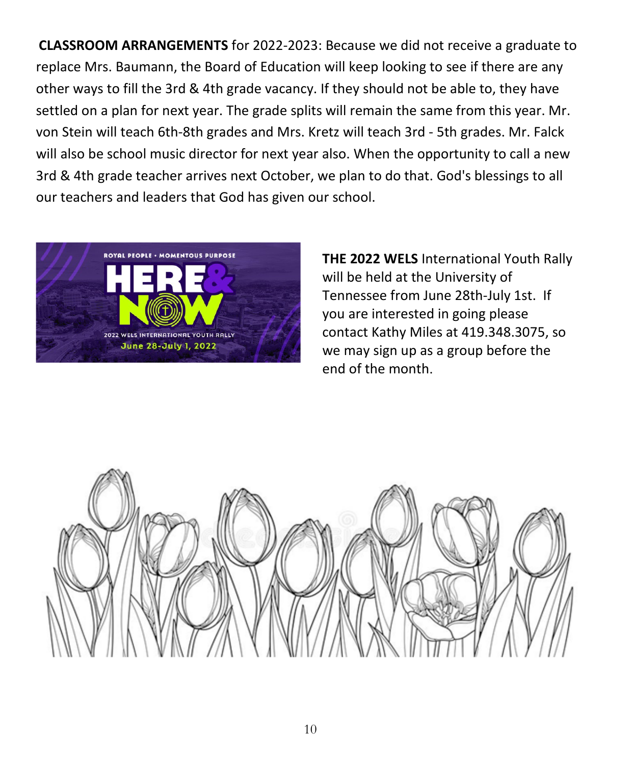**CLASSROOM ARRANGEMENTS** for 2022-2023: Because we did not receive a graduate to replace Mrs. Baumann, the Board of Education will keep looking to see if there are any other ways to fill the 3rd & 4th grade vacancy. If they should not be able to, they have settled on a plan for next year. The grade splits will remain the same from this year. Mr. von Stein will teach 6th-8th grades and Mrs. Kretz will teach 3rd - 5th grades. Mr. Falck will also be school music director for next year also. When the opportunity to call a new 3rd & 4th grade teacher arrives next October, we plan to do that. God's blessings to all our teachers and leaders that God has given our school.



**THE 2022 WELS** International Youth Rally will be held at the University of Tennessee from June 28th-July 1st. If you are interested in going please contact Kathy Miles at 419.348.3075, so we may sign up as a group before the end of the month.

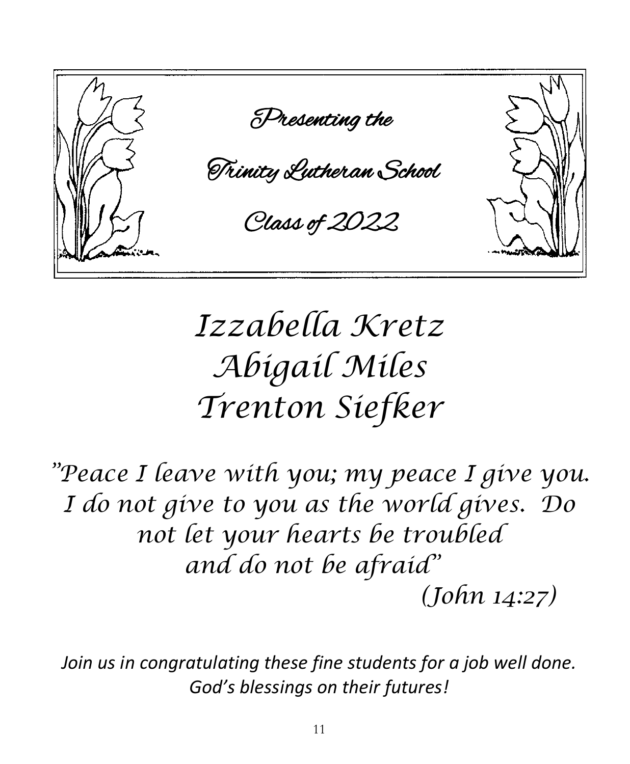

# *Izzabella Kretz Abigail Miles Trenton Siefker*

*"Peace I leave with you; my peace I give you. I do not give to you as the world gives. Do not let your hearts be troubled and do not be afraid" (John 14:27)*

*Join us in congratulating these fine students for a job well done. God's blessings on their futures!*